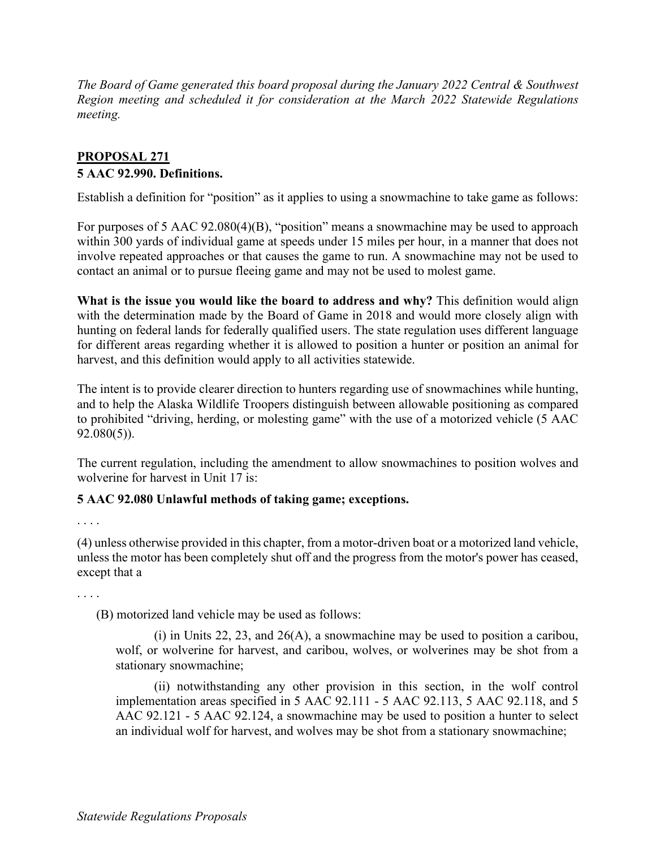*The Board of Game generated this board proposal during the January 2022 Central & Southwest Region meeting and scheduled it for consideration at the March 2022 Statewide Regulations meeting.*

## **PROPOSAL 271 5 AAC 92.990. Definitions.**

Establish a definition for "position" as it applies to using a snowmachine to take game as follows:

For purposes of 5 AAC 92.080(4)(B), "position" means a snowmachine may be used to approach within 300 yards of individual game at speeds under 15 miles per hour, in a manner that does not involve repeated approaches or that causes the game to run. A snowmachine may not be used to contact an animal or to pursue fleeing game and may not be used to molest game.

**What is the issue you would like the board to address and why?** This definition would align with the determination made by the Board of Game in 2018 and would more closely align with hunting on federal lands for federally qualified users. The state regulation uses different language for different areas regarding whether it is allowed to position a hunter or position an animal for harvest, and this definition would apply to all activities statewide.

The intent is to provide clearer direction to hunters regarding use of snowmachines while hunting, and to help the Alaska Wildlife Troopers distinguish between allowable positioning as compared to prohibited "driving, herding, or molesting game" with the use of a motorized vehicle (5 AAC 92.080(5)).

The current regulation, including the amendment to allow snowmachines to position wolves and wolverine for harvest in Unit 17 is:

## **5 AAC 92.080 Unlawful methods of taking game; exceptions.**

. . . .

(4) unless otherwise provided in this chapter, from a motor-driven boat or a motorized land vehicle, unless the motor has been completely shut off and the progress from the motor's power has ceased, except that a

. . . .

(B) motorized land vehicle may be used as follows:

(i) in Units 22, 23, and 26(A), a snowmachine may be used to position a caribou, wolf, or wolverine for harvest, and caribou, wolves, or wolverines may be shot from a stationary snowmachine;

(ii) notwithstanding any other provision in this section, in the wolf control implementation areas specified in 5 AAC 92.111 - 5 AAC 92.113, 5 AAC 92.118, and 5 AAC 92.121 - 5 AAC 92.124, a snowmachine may be used to position a hunter to select an individual wolf for harvest, and wolves may be shot from a stationary snowmachine;